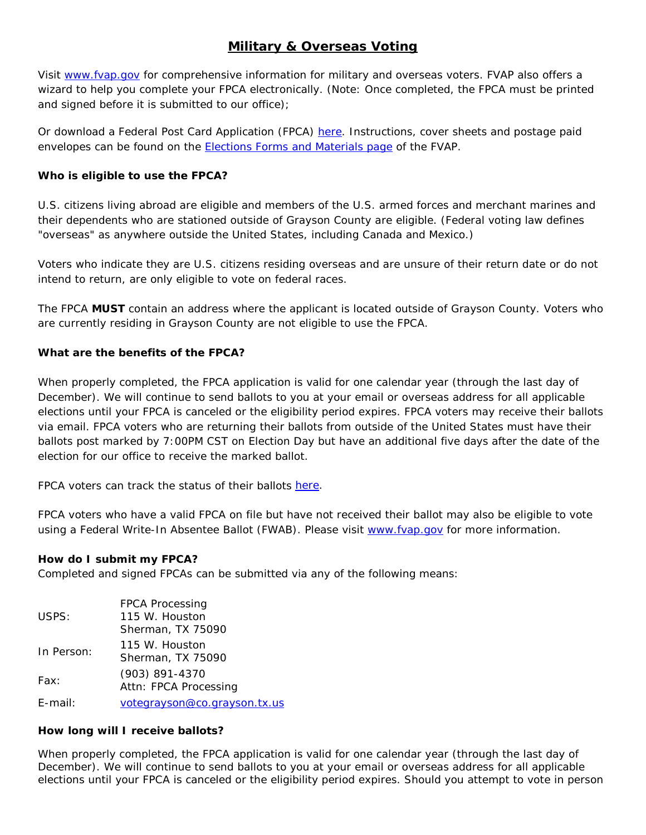# **Military & Overseas Voting**

Visit [www.fvap.gov](http://www.fvap.gov/) for comprehensive information for military and overseas voters. FVAP also offers a wizard to help you complete your FPCA electronically. (Note: Once completed, the FPCA must be printed and signed before it is submitted to our office);

Or download a Federal Post Card Application (FPCA) [here.](https://drive.google.com/file/d/1WLitzj-8JYUjgEK1U3Ki0nUn9ej-GDIq/view?usp=sharing) Instructions, cover sheets and postage paid envelopes can be found on the [Elections Forms and Materials page](https://www.fvap.gov/eo/overview/materials/forms) of the FVAP.

## **Who is eligible to use the FPCA?**

U.S. citizens living abroad are eligible and members of the U.S. armed forces and merchant marines and their dependents who are stationed outside of Grayson County are eligible. (Federal voting law defines "overseas" as anywhere outside the United States, including Canada and Mexico.)

Voters who indicate they are U.S. citizens residing overseas and are unsure of their return date or do not intend to return, are only eligible to vote on federal races.

The FPCA **MUST** contain an address where the applicant is located outside of Grayson County. Voters who are currently residing in Grayson County are not eligible to use the FPCA.

### **What are the benefits of the FPCA?**

When properly completed, the FPCA application is valid for one calendar year (through the last day of December). We will continue to send ballots to you at your email or overseas address for all applicable elections until your FPCA is canceled or the eligibility period expires. FPCA voters may receive their ballots via email. FPCA voters who are returning their ballots from outside of the United States must have their ballots post marked by 7:00PM CST on Election Day but have an additional five days after the date of the election for our office to receive the marked ballot.

FPCA voters can track the status of their ballots [here.](https://webservices.sos.state.tx.us/FPCA/index.aspx)

FPCA voters who have a valid FPCA on file but have not received their ballot may also be eligible to vote using a Federal Write-In Absentee Ballot (FWAB). Please visit [www.fvap.gov](http://www.fvap.gov/) for more information.

#### **How do I submit my FPCA?**

Completed and signed FPCAs can be submitted via any of the following means:

|            | <b>FPCA Processing</b>       |
|------------|------------------------------|
| USPS:      | 115 W. Houston               |
|            | Sherman, TX 75090            |
| In Person: | 115 W. Houston               |
|            | Sherman, TX 75090            |
| Fax:       | (903) 891-4370               |
|            | Attn: FPCA Processing        |
| $E$ -mail: | votegrayson@co.grayson.tx.us |

#### **How long will I receive ballots?**

When properly completed, the FPCA application is valid for one calendar year (through the last day of December). We will continue to send ballots to you at your email or overseas address for all applicable elections until your FPCA is canceled or the eligibility period expires. Should you attempt to vote in person